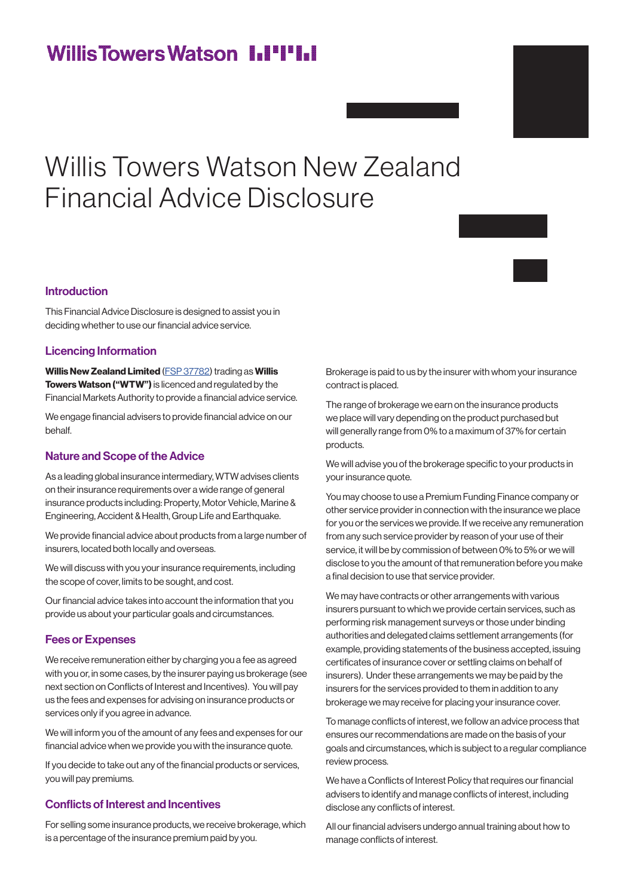# **WillisTowersWatson I.I'I'I.I**

# Willis Towers Watson New Zealand Financial Advice Disclosure

# Introduction

This Financial Advice Disclosure is designed to assist you in deciding whether to use our financial advice service.

# Licencing Information

Willis New Zealand Limited ([FSP 37782\)](https://app.companiesoffice.govt.nz/fsp/app/ui/fsp/version/searchSummaryCompanyFSP/FSP37782/59.do) trading as Willis Towers Watson ("WTW") is licenced and regulated by the Financial Markets Authority to provide a financial advice service.

We engage financial advisers to provide financial advice on our behalf.

# Nature and Scope of the Advice

As a leading global insurance intermediary, WTW advises clients on their insurance requirements over a wide range of general insurance products including: Property, Motor Vehicle, Marine & Engineering, Accident & Health, Group Life and Earthquake.

We provide financial advice about products from a large number of insurers, located both locally and overseas.

We will discuss with you your insurance requirements, including the scope of cover, limits to be sought, and cost.

Our financial advice takes into account the information that you provide us about your particular goals and circumstances.

# Fees or Expenses

We receive remuneration either by charging you a fee as agreed with you or, in some cases, by the insurer paying us brokerage (see next section on Conflicts of Interest and Incentives). You will pay us the fees and expenses for advising on insurance products or services only if you agree in advance.

We will inform you of the amount of any fees and expenses for our financial advice when we provide you with the insurance quote.

If you decide to take out any of the financial products or services, you will pay premiums.

# Conflicts of Interest and Incentives

For selling some insurance products, we receive brokerage, which is a percentage of the insurance premium paid by you.

Brokerage is paid to us by the insurer with whom your insurance contract is placed.

The range of brokerage we earn on the insurance products we place will vary depending on the product purchased but will generally range from 0% to a maximum of 37% for certain products.

We will advise you of the brokerage specific to your products in your insurance quote.

You may choose to use a Premium Funding Finance company or other service provider in connection with the insurance we place for you or the services we provide. If we receive any remuneration from any such service provider by reason of your use of their service, it will be by commission of between 0% to 5% or we will disclose to you the amount of that remuneration before you make a final decision to use that service provider.

We may have contracts or other arrangements with various insurers pursuant to which we provide certain services, such as performing risk management surveys or those under binding authorities and delegated claims settlement arrangements (for example, providing statements of the business accepted, issuing certificates of insurance cover or settling claims on behalf of insurers). Under these arrangements we may be paid by the insurers for the services provided to them in addition to any brokerage we may receive for placing your insurance cover.

To manage conflicts of interest, we follow an advice process that ensures our recommendations are made on the basis of your goals and circumstances, which is subject to a regular compliance review process.

We have a Conflicts of Interest Policy that requires our financial advisers to identify and manage conflicts of interest, including disclose any conflicts of interest.

All our financial advisers undergo annual training about how to manage conflicts of interest.